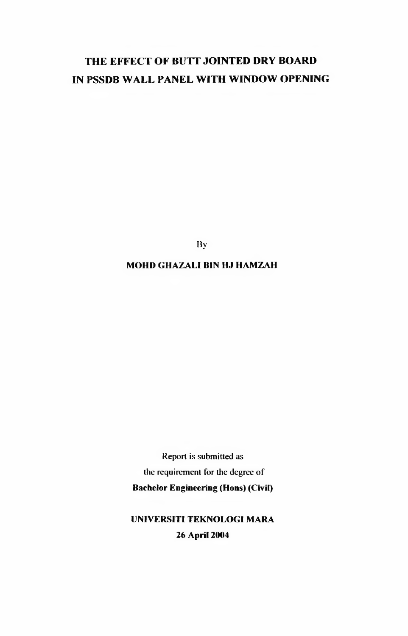# **THE EFFECT OF BUTT JOINTED DRY BOARD IN PSSDB WALL PANEL WITH WINDOW OPENING**

**By**

#### **MOHD GHAZALI BIN HJ HAMZAH**

**Report is submitted as** the requirement for the degree of **Bachelor Engineering (Hons) (Civil)**

## **UNIVERSITI TEKNOLOGI MARA 26 April 2004**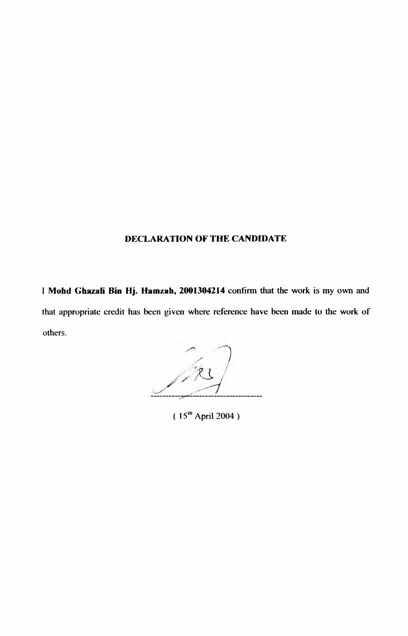#### **DECLARATION OF THE CANDIDATE**

**I Mohd Ghazali Bin Hj. Hamzah, 2001304214 confirm that the work is my own and** that appropriate credit has been given where reference have been made to the work of **others.**

**( 15,h April 2004 )**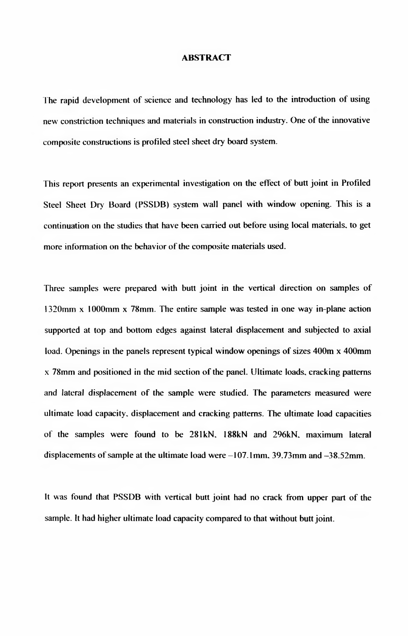#### **ABSTRACT**

The rapid development of science and technology has led to the introduction of using new constriction techniques and materials in construction industry. One of the innovative **composite constructions is profiled steel sheet dry board system.**

This report presents an experimental investigation on the effect of butt joint in Profiled **Steel Sheet Dry Board (PSSDB) system wall panel with window opening. This is a continuation on the studies that have been carried out before using local materials, to get** more information on the behavior of the composite materials used.

Three samples were prepared with butt joint in the vertical direction on samples of **1320mm x 1000mm x 78mm. The entire sample was tested in one way in-plane action supported at top and bottom edges against lateral displacement and subjected to axial** load. Openings in the panels represent typical window openings of sizes 400m x 400mm **x 78mm and positioned in the mid section of the panel. Ultimate loads, cracking patterns** and lateral displacement of the sample were studied. The parameters measured were **ultimate load capacity, displacement and cracking patterns. The ultimate load capacities** of the samples were found to be 281kN, 188kN and 296kN, maximum lateral displacements of sample at the ultimate load were -107.1mm, 39.73mm and -38.52mm.

It was found that PSSDB with vertical butt joint had no crack from upper part of the **sample. It had higher ultimate load capacity compared to that without butt joint.**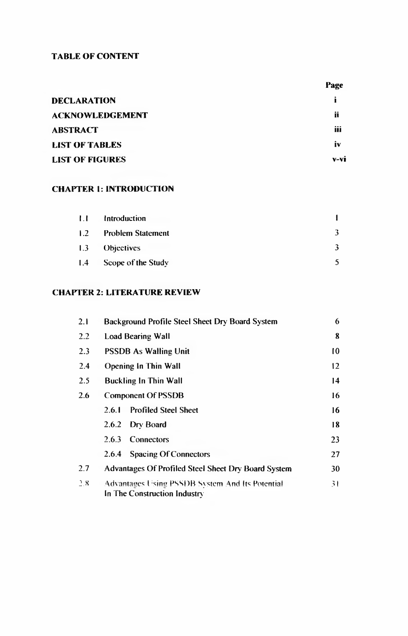#### **TABLE OF CONTENT**

|                        | Page   |
|------------------------|--------|
| <b>DECLARATION</b>     |        |
| <b>ACKNOWLEDGEMENT</b> | ü      |
| <b>ABSTRACT</b>        | iii    |
| <b>LIST OF TABLES</b>  | IV     |
| <b>LIST OF FIGURES</b> | $V-VI$ |

### **CHAPTER 1: INTRODUCTION**

| 1.1 | Introduction             |  |
|-----|--------------------------|--|
| 1.2 | <b>Problem Statement</b> |  |
| 1.3 | <b>Objectives</b>        |  |
| 1.4 | Scope of the Study       |  |

#### **CHAPTER 2: LITERATURE REVIEW**

| 2.1 | Background Profile Steel Sheet Dry Board System                                 | 6             |
|-----|---------------------------------------------------------------------------------|---------------|
| 2.2 | <b>Load Bearing Wall</b>                                                        | 8             |
| 2.3 | <b>PSSDB As Walling Unit</b>                                                    | $\mathbf{10}$ |
| 2.4 | <b>Opening In Thin Wall</b>                                                     | 12            |
| 2.5 | <b>Buckling In Thin Wall</b>                                                    | 14            |
| 2.6 | <b>Component Of PSSDB</b>                                                       | 16            |
|     | <b>Profiled Steel Sheet</b><br>2.6.I                                            | 16            |
|     | 2.6.2<br>Dry Board                                                              | 18            |
|     | 2.6.3<br>Connectors                                                             | 23            |
|     | <b>Spacing Of Connectors</b><br>2.6.4                                           | 27            |
| 2.7 | Advantages Of Profiled Steel Sheet Dry Board System                             | 30            |
| 2.8 | Advantages Using PSSDB System And Its Potential<br>In The Construction Industry | 31            |